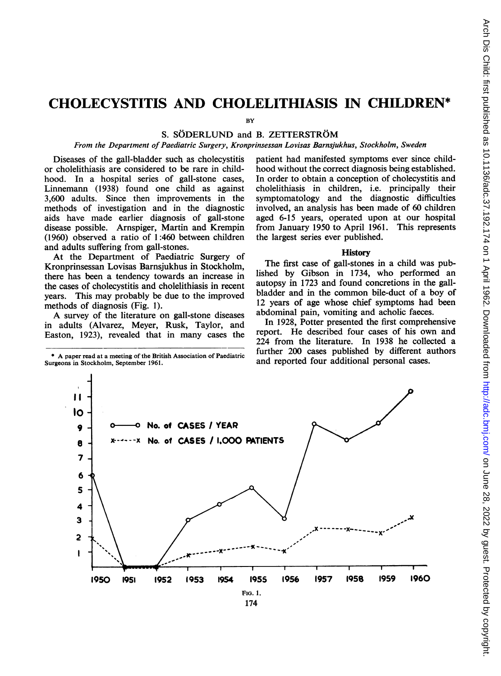# CHOLECYSTITIS AND CHOLELITHIASIS IN CHILDREN\*

**BY** 

# S. SÖDERLUND and B. ZETTERSTRÖM

From the Department of Paediatric Surgery, Kronprinsessan Lovisas Barnsjukhus, Stockholm, Sweden

Diseases of the gall-bladder such as cholecystitis or cholelithiasis are considered to be rare in childhood. In a hospital series of gall-stone cases, Linnemann (1938) found one child as against 3,600 adults. Since then improvements in the methods of investigation and in the diagnostic aids have made earlier diagnosis of gall-stone disease possible. Arnspiger, Martin and Krempin (1960) observed a ratio of 1:460 between children and adults suffering from gall-stones.

At the Department of Paediatric Surgery of Kronprinsessan Lovisas Barnsjukhus in Stockholm, there has been a tendency towards an increase in the cases of cholecystitis and cholelithiasis in recent years. This may probably be due to the improved methods of diagnosis (Fig. 1).

A survey of the literature on gall-stone diseases in adults (Alvarez, Meyer, Rusk, Taylor, and Easton, 1923), revealed that in many cases the

\* A paper read at <sup>a</sup> meeting of the British Association of Paediatric Surgeons in Stockholm, September 1961.

patient had manifested symptoms ever since childhood without the correct diagnosis being established. In order to obtain a conception of cholecystitis and cholelithiasis in children, i.e. principally their symptomatology and the diagnostic difficulties involved, an analysis has been made of 60 children aged 6-15 years, operated upon at our hospital from January 1950 to April 1961. This represents the largest series ever published.

#### **History**

The first case of gall-stones in a child was published by Gibson in 1734, who performed an autopsy in 1723 and found concretions in the gallbladder and in the common bile-duct of a boy of 12 years of age whose chief symptoms had been abdominal pain, vomiting and acholic faeces.

In 1928, Potter presented the first comprehensive report. He described four cases of his own and 224 from the literature. In 1938 he collected a further 200 cases published by different authors and reported four additional personal cases.

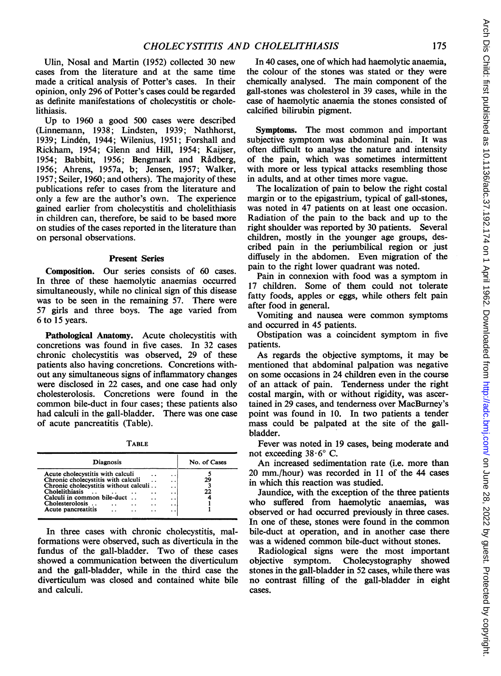Ulin, Nosal and Martin (1952) collected 30 new cases from the literature and at the same time made a critical analysis of Potter's cases. In their opinion, only 296 of Potter's cases could be regarded as definite manifestations of cholecystitis or cholelithiasis.

Up to 1960 a good 500 cases were described (Linnemann, 1938; Lindsten, 1939; Nathhorst, 1939; Linden, 1944; Wilenius, 1951; Forshall and Rickham, 1954; Glenn and Hill, 1954; Kaijser, 1954; Babbitt, 1956; Bengmark and Radberg, 1956; Ahrens, 1957a, b; Jensen, 1957; Walker, 1957; Seiler, 1960; and others). The majority of these publications refer to cases from the literature and only a few are the author's own. The experience gained earlier from cholecystitis and cholelithiasis in children can, therefore, be said to be based more on studies of the cases reported in the literature than on personal observations.

#### Present Series

Composition. Our series consists of 60 cases. In three of these haemolytic anaemias occurred simultaneously, while no clinical sign of this disease was to be seen in the remaining 57. There were 57 girls and three boys. The age varied from 6 to 15 years.

Pathological Anatomy. Acute cholecystitis with concretions was found in five cases. In 32 cases chronic cholecystitis was observed, 29 of these patients also having concretions. Concretions without any simultaneous signs of inflammatory changes were disclosed in 22 cases, and one case had only cholesterolosis. Concretions were found in the common bile-duct in four cases; these patients also had calculi in the gall-bladder. There was one case of acute pancreatitis (Table).

| <br>۰<br>٠<br>۰<br>. . |
|------------------------|
|------------------------|

| <b>Diagnosis</b><br>Acute cholecystitis with calculi<br>. . |  |     |  |     | No. of Cases |  |
|-------------------------------------------------------------|--|-----|--|-----|--------------|--|
|                                                             |  |     |  |     |              |  |
| Chronic cholecystitis with calculi<br>. .                   |  |     |  |     | 29           |  |
| Chronic cholecystitis without calculi                       |  |     |  | . . |              |  |
| Cholelithiasis                                              |  |     |  | . . | 22           |  |
| Calculi in common bile-duct                                 |  |     |  | . . |              |  |
| Cholesterolosis                                             |  |     |  | . . |              |  |
| Acute pancreatitis                                          |  | . . |  | . . |              |  |

In three cases with chronic cholecystitis, malformations were observed, such as diverticula in the fundus of the gall-bladder. Two of these cases showed a communication between the diverticulum and the gall-bladder, while in the third case the diverticulum was closed and contained white bile and calculi.

In 40 cases, one of which had haemolytic anaemia, the colour of the stones was stated or they were chemically analysed. The main component of the gall-stones was cholesterol in 39 cases, while in the case of haemolytic anaemia the stones consisted of calcified bilirubin pigment.

Symptoms. The most common and important subjective symptom was abdominal pain. It was often difficult to analyse the nature and intensity of the pain, which was sometimes intermittent with more or less typical attacks resembling those in adults, and at other times more vague.

The localization of pain to below the right costal margin or to the epigastrium, typical of gall-stones, was noted in 47 patients on at least one occasion. Radiation of the pain to the back and up to the right shoulder was reported by 30 patients. Several children, mostly in the younger age groups, described pain in the periumbilical region or just diffusely in the abdomen. Even migration of the pain to the right lower quadrant was noted.

Pain in connexion with food was a symptom in 17 children. Some of them could not tolerate fatty foods, apples or eggs, while others felt pain after food in general.

Vomiting and nausea were common symptoms and occurred in 45 patients.

Obstipation was a coincident symptom in five patients.

As regards the objective symptoms, it may be mentioned that abdominal palpation was negative on some occasions in 24 children even in the course of an attack of pain. Tenderness under the right costal margin, with or without rigidity, was ascertained in 29 cases, and tenderness over MacBurney's point was found in 10. In two patients a tender mass could be palpated at the site of the gallbladder.

Fever was noted in 19 cases, being moderate and not exceeding  $38.6^{\circ}$  C.

An increased sedimentation rate (i.e. more than 20 mm./hour) was recorded in 11 of the 44 cases in which this reaction was studied.

Jaundice, with the exception of the three patients who suffered from haemolytic anaemias, was observed or had occurred previously in three cases. In one of these, stones were found in the common bile-duct at operation, and in another case there was a widened common bile-duct without stones.

Radiological signs were the most important objective symptom. Cholecystography showed stones in the gall-bladder in 52 cases, while there was no contrast filling of the gall-bladder in eight cases.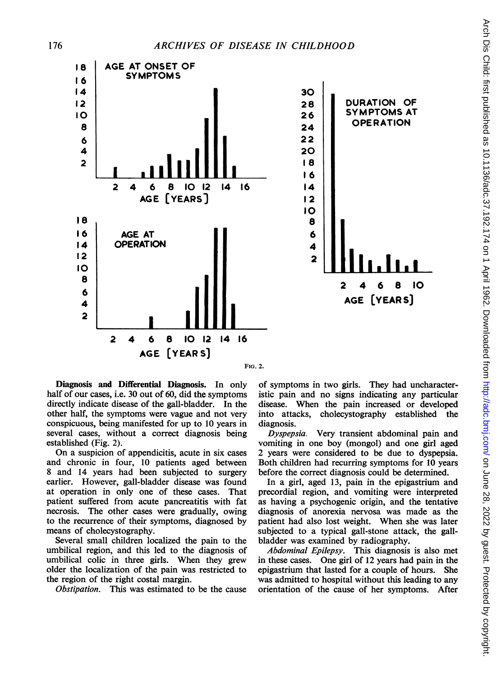

Diagnosis and Differential Diagnosis. In only half of our cases, i.e. 30 out of 60, did the symptoms directly indicate disease of the gall-bladder. In the other half, the symptoms were vague and not very conspicuous, being manifested for up to 10 years in several cases, without a correct diagnosis being established (Fig. 2).

On a suspicion of appendicitis, acute in six cases and chronic in four, 10 patients aged between 8 and 14 years had been subjected to surgery earlier. However, gall-bladder disease was found at operation in only one of these cases. That patient suffered from acute pancreatitis with fat necrosis. The other cases were gradually, owing to the recurrence of their symptoms, diagnosed by means of cholecystography.

Several small children localized the pain to the umbilical region, and this led to the diagnosis of umbilical colic in three girls. When they grew older the localization of the pain was restricted to the region of the right costal margin.

Obstipation. This was estimated to be the cause

of symptoms in two girls. They had uncharacteristic pain and no signs indicating any particular disease. When the pain increased or developed into attacks, cholecystography established the diagnosis.

Dyspepsia. Very transient abdominal pain and vomiting in one boy (mongol) and one girl aged 2 years were considered to be due to dyspepsia. Both children had recurring symptoms for 10 years before the correct diagnosis could be determined.

In a girl, aged 13, pain in the epigastrium and precordial region, and vomiting were interpreted as having a psychogenic origin, and the tentative diagnosis of anorexia nervosa was made as the patient had also lost weight. When she was later subjected to a typical gall-stone attack, the gallbladder was examined by radiography.

Abdominal Epilepsy. This diagnosis is also met in these cases. One girl of 12 years had pain in the epigastrium that lasted for a couple of hours. She was admitted to hospital without this leading to any orientation of the cause of her symptoms. After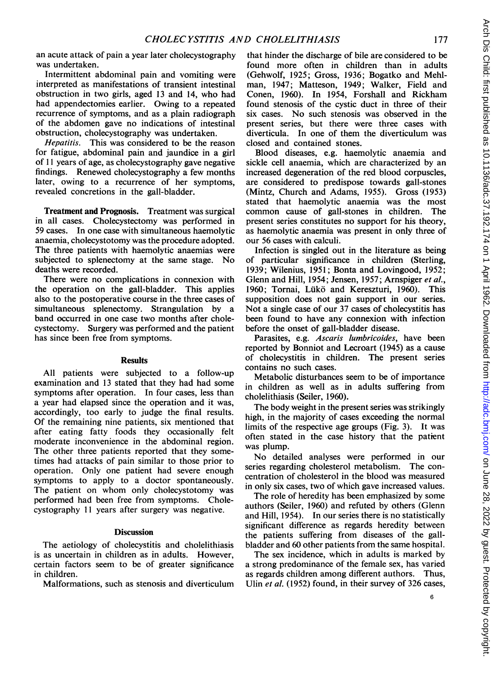an acute attack of pain a year later cholecystography was undertaken.

Intermittent abdominal pain and vomiting were interpreted as manifestations of transient intestinal obstruction in two girls, aged <sup>13</sup> and 14, who had had appendectomies earlier. Owing to a repeated recurrence of symptoms, and as a plain radiograph of the abdomen gave no indications of intestinal obstruction, cholecystography was undertaken.

Hepatitis. This was considered to be the reason for fatigue, abdominal pain and jaundice in a girl of <sup>11</sup> years of age, as cholecystography gave negative findings. Renewed cholecystography a few months later, owing to a recurrence of her symptoms, revealed concretions in the gall-bladder.

Treatment and Prognosis. Treatment was surgical in all cases. Cholecystectomy was performed in 59 cases. In one case with simultaneous haemolytic anaemia, cholecystotomy was the procedure adopted. The three patients with haemolytic anaemias were subjected to splenectomy at the same stage. No deaths were recorded.

There were no complications in connexion with the operation on the gall-bladder. This applies also to the postoperative course in the three cases of simultaneous splenectomy. Strangulation by a band occurred in one case two months after cholecystectomy. Surgery was performed and the patient has since been free from symptoms.

## Results

All patients were subjected to a follow-up examination and 13 stated that they had had some symptoms after operation. In four cases, less than a year had elapsed since the operation and it was, accordingly, too early to judge the final results. Of the remaining nine patients, six mentioned that after eating fatty foods they occasionally felt moderate inconvenience in the abdominal region. The other three patients reported that they sometimes had attacks of pain similar to those prior to operation. Only one patient had severe enough symptoms to apply to a doctor spontaneously. The patient on whom only cholecystotomy was performed had been free from symptoms. Cholecystography <sup>11</sup> years after surgery was negative.

## **Discussion**

The aetiology of cholecystitis and cholelithiasis is as uncertain in children as in adults. However, certain factors seem to be of greater significance in children.

Malformations, such as stenosis and diverticulum

that hinder the discharge of bile are considered to be found more often in children than in adults (Gehwolf, 1925; Gross, 1936; Bogatko and Mehlman, 1947; Matteson, 1949; Walker, Field and Conen, 1960). In 1954, Forshall and Rickham found stenosis of the cystic duct in three of their six cases. No such stenosis was observed in the present series, but there were three cases with diverticula. In one of them the diverticulum was closed and contained stones.

Blood diseases, e.g. haemolytic anaemia and sickle cell anaemia, which are characterized by an increased degeneration of the red blood corpuscles, are considered to predispose towards gall-stones (Mintz, Church and Adams, 1955). Gross (1953) stated that haemolytic anaemia was the most common cause of gall-stones in children. The present series constitutes no support for his theory, as haemolytic anaemia was present in only three of our 56 cases with calculi.

Infection is singled out in the literature as being of particular significance in children (Sterling, 1939; Wilenius, 1951; Bonta and Lovingood, 1952; Glenn and Hill, 1954; Jensen, 1957; Arnspiger et al., 1960; Tornai, Lükö and Kereszturi, 1960). This supposition does not gain support in our series. Not a single case of our 37 cases of cholecystitis has been found to have any connexion with infection before the onset of gall-bladder disease.

Parasites, e.g. Ascaris lumbricoides, have been reported by Bonniot and Lecroart (1945) as a cause of cholecystitis in children. The present series contains no such cases.

Metabolic disturbances seem to be of importance in children as well as in adults suffering from cholelithiasis (Seiler, 1960).

The body weight in the present series was strikingly high, in the majority of cases exceeding the normal limits of the respective age groups (Fig. 3). It was often stated in the case history that the patient was plump.

No detailed analyses were performed in our series regarding cholesterol metabolism. The concentration of cholesterol in the blood was measured in only six cases, two of which gave increased values.

The role of heredity has been emphasized by some authors (Seiler, 1960) and refuted by others (Glenn and Hill, 1954). In our series there is no statistically significant difference as regards heredity between the patients suffering from diseases of the gallbladder and 60 other patients from the same hospital.

The sex incidence, which in adults is marked by a strong predominance of the female sex, has varied as regards children among different authors. Thus, Ulin et al. (1952) found, in their survey of 326 cases,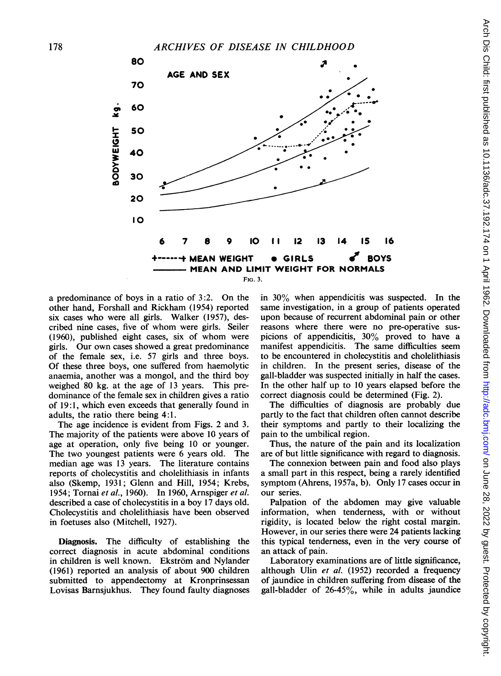

a predominance of boys in a ratio of 3:2. On the other hand, Forshall and Rickham (1954) reported six cases who were all girls. Walker (1957), described nine cases, five of whom were girls. Seiler (1960), published eight cases, six of whom were girls. Our own cases showed a great predominance of the female sex, i.e. 57 girls and three boys. Of these three boys, one suffered from haemolytic anaemia, another was a mongol, and the third boy weighed 80 kg. at the age of 13 years. This predominance of the female sex in children gives a ratio of 19:1, which even exceeds that generally found in adults, the ratio there being 4:1.

The age incidence is evident from Figs. 2 and 3. The majority of the patients were above 10 years of age at operation, only five being 10 or younger. The two youngest patients were 6 years old. The median age was 13 years. The literature contains reports of cholecystitis and cholelithiasis in infants also (Skemp, 1931; Glenn and Hill, 1954; Krebs, 1954; Tornai et al., 1960). In 1960, Arnspiger et al. described a case of cholecystitis in a boy 17 days old. Cholecystitis and cholelithiasis have been observed in foetuses also (Mitchell, 1927).

Diagnosis. The difficulty of establishing the correct diagnosis in acute abdominal conditions in children is well known. Ekström and Nylander (1961) reported an analysis of about 900 children submitted to appendectomy at Kronprinsessan Lovisas Barnsjukhus. They found faulty diagnoses

in 30% when appendicitis was suspected. In the same investigation, in a group of patients operated upon because of recurrent abdominal pain or other reasons where there were no pre-operative suspicions of appendicitis, 30% proved to have a manifest appendicitis. The same difficulties seem to be encountered in cholecystitis and cholelithiasis in children. In the present series, disease of the gall-bladder was suspected initially in half the cases. In the other half up to 10 years elapsed before the correct diagnosis could be determined (Fig. 2).

The difficulties of diagnosis are probably due partly to the fact that children often cannot describe their symptoms and partly to their localizing the pain to the umbilical region.

Thus, the nature of the pain and its localization are of but little significance with regard to diagnosis.

The connexion between pain and food also plays a small part in this respect, being a rarely identified symptom (Ahrens, 1957a, b). Only 17 cases occur in our series.

Palpation of the abdomen may give valuable information, when tenderness, with or without rigidity, is located below the right costal margin. However, in our series there were 24 patients lacking this typical tenderness, even in the very course of an attack: of pain.

Laboratory examinations are of little significance, although Ulin et al. (1952) recorded a frequency of jaundice in children suffering from disease of the gall-bladder of  $26-45\%$ , while in adults jaundice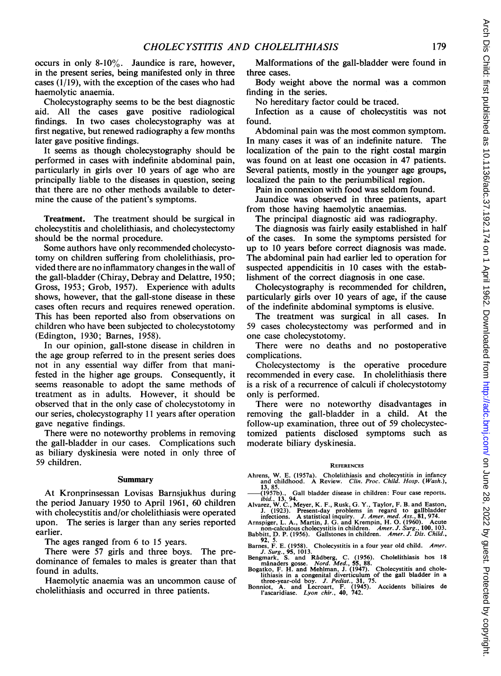occurs in only 8-10%. Jaundice is rare, however, in the present series, being manifested only in three cases (1/19), with the exception of the cases who had haemolytic anaemia.

Cholecystography seems to be the best diagnostic aid. All the cases gave positive radiological findings. In two cases cholecystography was at first negative, but renewed radiography a few months later gave positive findings.

It seems as though cholecystography should be performed in cases with indefinite abdominal pain, particularly in girls over 10 years of age who are principally liable to the diseases in question, seeing that there are no other methods available to determine the cause of the patient's symptoms.

Treatment. The treatment should be surgical in cholecystitis and cholelithiasis, and cholecystectomy should be the normal procedure.

Some authors have only recommended cholecystotomy on children suffering from cholelithiasis, provided there are no inflammatory changes in the wall of the gall-bladder (Chiray, Debray and Delattre, 1950; Gross, 1953; Grob, 1957). Experience with adults shows, however, that the gall-stone disease in these cases often recurs and requires renewed operation. This has been reported also from observations on children who have been subjected to cholecystotomy (Edington, 1930; Barnes, 1958).

In our opinion, gall-stone disease in children in the age group referred to in the present series does not in any essential way differ from that manifested in the higher age groups. Consequently, it seems reasonable to adopt the same methods of treatment as in adults. However, it should be observed that in the only case of cholecystotomy in our series, cholecystography 11 years after operation gave negative findings.

There were no noteworthy problems in removing the gall-bladder in our cases. Complications such as biliary dyskinesia were noted in only three of 59 children.

#### Summary

At Kronprinsessan Lovisas Barnsjukhus during the period January 1950 to April 1961, 60 children with cholecystitis and/or cholelithiasis were operated upon. The series is larger than any series reported earlier.

The ages ranged from 6 to 15 years.

There were 57 girls and three boys. The predominance of females to males is greater than that found in adults.

Haemolytic anaemia was an uncommon cause of cholelithiasis and occurred in three patients.

Malformations of the gall-bladder were found in three cases.

Body weight above the normal was a common finding in the series.

No hereditary factor could be traced.

Infection as a cause of cholecystitis was not found.

Abdominal pain was the most common symptom. In many cases it was of an indefinite nature. The localization of the pain to the right costal margin was found on at least one occasion in 47 patients. Several patients, mostly in the younger age groups, localized the pain to the periumbilical region.

Pain in connexion with food was seldom found.

Jaundice was observed in three patients, apart from those having haemolytic anaemias.

The principal diagnostic aid was radiography.

The diagnosis was fairly easily established in half of the cases. In some the symptoms persisted for up to 10 years before correct diagnosis was made. The abdominal pain had earlier led to operation for suspected appendicitis in 10 cases with the establishment of the correct diagnosis in one case.

Cholecystography is recommended for children, particularly girls over 10 years of age, if the cause of the indefinite abdominal symptoms is elusive.

The treatment was surgical in all cases. In 59 cases cholecystectomy was performed and in one case cholecystotomy.

There were no deaths and no postoperative complications.

Cholecystectomy is the operative procedure recommended in every case. In cholelithiasis there is a risk of a recurrence of calculi if cholecystotomy only is performed.

There were no noteworthy disadvantages in removing the gall-bladder in a child. At the follow-up examination, three out of 59 cholecystectomized patients disclosed symptoms such as moderate biliary dyskinesia.

#### **REFERENCES**

Ahrens, W. E. (1957a). Cholelithiasis and cholecystitis in infancy and childhood. A Review. Clin. Proc. Child. Hosp. (Wash.),

18, 85.<br>  $(1957b)$ , Gall bladder disease in children: Four case reports.<br>  $ibid.$  13, 94.<br>
Alvacz, W.C., Meyer, K. F., Rusk, G. Y., Taylor, F. B. and Easton,<br>
J. (1923). Present-day problems in regard to gallbladder<br>
infect

Paris, F. E. (1958). Cholecystitis in a four year old child. Amer.<br>J. Surg., 95, 1013.<br>Bengmark, S. and Rådberg, C. (1956). Cholelithiasis hos 18<br>manaders gosse. Nord. Med., 55, 88.<br>Bogatko, F. H. and Mehlman, J. (1947).